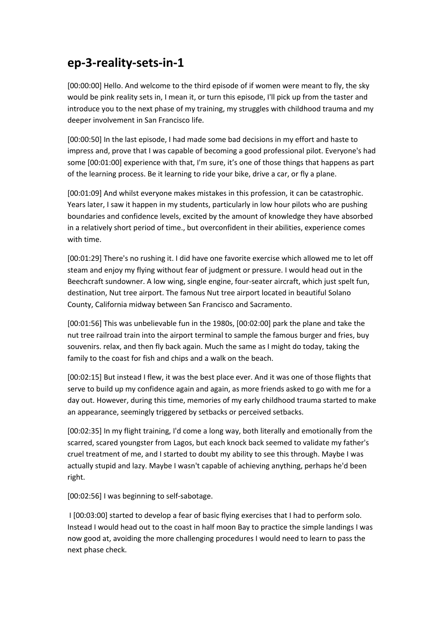## **ep-3-reality-sets-in-1**

[00:00:00] Hello. And welcome to the third episode of if women were meant to fly, the sky would be pink reality sets in, I mean it, or turn this episode, I'll pick up from the taster and introduce you to the next phase of my training, my struggles with childhood trauma and my deeper involvement in San Francisco life.

[00:00:50] In the last episode, I had made some bad decisions in my effort and haste to impress and, prove that I was capable of becoming a good professional pilot. Everyone's had some [00:01:00] experience with that, I'm sure, it's one of those things that happens as part of the learning process. Be it learning to ride your bike, drive a car, or fly a plane.

[00:01:09] And whilst everyone makes mistakes in this profession, it can be catastrophic. Years later, I saw it happen in my students, particularly in low hour pilots who are pushing boundaries and confidence levels, excited by the amount of knowledge they have absorbed in a relatively short period of time., but overconfident in their abilities, experience comes with time.

[00:01:29] There's no rushing it. I did have one favorite exercise which allowed me to let off steam and enjoy my flying without fear of judgment or pressure. I would head out in the Beechcraft sundowner. A low wing, single engine, four-seater aircraft, which just spelt fun, destination, Nut tree airport. The famous Nut tree airport located in beautiful Solano County, California midway between San Francisco and Sacramento.

[00:01:56] This was unbelievable fun in the 1980s, [00:02:00] park the plane and take the nut tree railroad train into the airport terminal to sample the famous burger and fries, buy souvenirs. relax, and then fly back again. Much the same as I might do today, taking the family to the coast for fish and chips and a walk on the beach.

[00:02:15] But instead I flew, it was the best place ever. And it was one of those flights that serve to build up my confidence again and again, as more friends asked to go with me for a day out. However, during this time, memories of my early childhood trauma started to make an appearance, seemingly triggered by setbacks or perceived setbacks.

[00:02:35] In my flight training, I'd come a long way, both literally and emotionally from the scarred, scared youngster from Lagos, but each knock back seemed to validate my father's cruel treatment of me, and I started to doubt my ability to see this through. Maybe I was actually stupid and lazy. Maybe I wasn't capable of achieving anything, perhaps he'd been right.

[00:02:56] I was beginning to self-sabotage.

I [00:03:00] started to develop a fear of basic flying exercises that I had to perform solo. Instead I would head out to the coast in half moon Bay to practice the simple landings I was now good at, avoiding the more challenging procedures I would need to learn to pass the next phase check.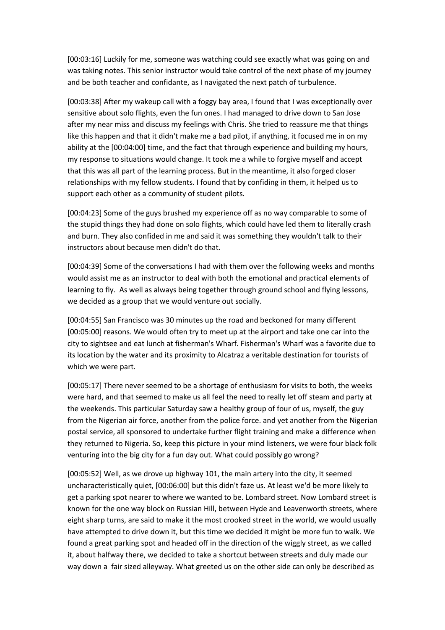[00:03:16] Luckily for me, someone was watching could see exactly what was going on and was taking notes. This senior instructor would take control of the next phase of my journey and be both teacher and confidante, as I navigated the next patch of turbulence.

[00:03:38] After my wakeup call with a foggy bay area, I found that I was exceptionally over sensitive about solo flights, even the fun ones. I had managed to drive down to San Jose after my near miss and discuss my feelings with Chris. She tried to reassure me that things like this happen and that it didn't make me a bad pilot, if anything, it focused me in on my ability at the [00:04:00] time, and the fact that through experience and building my hours, my response to situations would change. It took me a while to forgive myself and accept that this was all part of the learning process. But in the meantime, it also forged closer relationships with my fellow students. I found that by confiding in them, it helped us to support each other as a community of student pilots.

[00:04:23] Some of the guys brushed my experience off as no way comparable to some of the stupid things they had done on solo flights, which could have led them to literally crash and burn. They also confided in me and said it was something they wouldn't talk to their instructors about because men didn't do that.

[00:04:39] Some of the conversations I had with them over the following weeks and months would assist me as an instructor to deal with both the emotional and practical elements of learning to fly. As well as always being together through ground school and flying lessons, we decided as a group that we would venture out socially.

[00:04:55] San Francisco was 30 minutes up the road and beckoned for many different [00:05:00] reasons. We would often try to meet up at the airport and take one car into the city to sightsee and eat lunch at fisherman's Wharf. Fisherman's Wharf was a favorite due to its location by the water and its proximity to Alcatraz a veritable destination for tourists of which we were part.

[00:05:17] There never seemed to be a shortage of enthusiasm for visits to both, the weeks were hard, and that seemed to make us all feel the need to really let off steam and party at the weekends. This particular Saturday saw a healthy group of four of us, myself, the guy from the Nigerian air force, another from the police force. and yet another from the Nigerian postal service, all sponsored to undertake further flight training and make a difference when they returned to Nigeria. So, keep this picture in your mind listeners, we were four black folk venturing into the big city for a fun day out. What could possibly go wrong?

[00:05:52] Well, as we drove up highway 101, the main artery into the city, it seemed uncharacteristically quiet, [00:06:00] but this didn't faze us. At least we'd be more likely to get a parking spot nearer to where we wanted to be. Lombard street. Now Lombard street is known for the one way block on Russian Hill, between Hyde and Leavenworth streets, where eight sharp turns, are said to make it the most crooked street in the world, we would usually have attempted to drive down it, but this time we decided it might be more fun to walk. We found a great parking spot and headed off in the direction of the wiggly street, as we called it, about halfway there, we decided to take a shortcut between streets and duly made our way down a fair sized alleyway. What greeted us on the other side can only be described as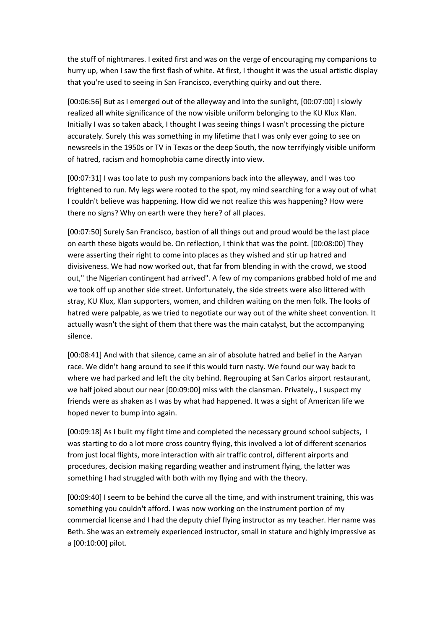the stuff of nightmares. I exited first and was on the verge of encouraging my companions to hurry up, when I saw the first flash of white. At first, I thought it was the usual artistic display that you're used to seeing in San Francisco, everything quirky and out there.

[00:06:56] But as I emerged out of the alleyway and into the sunlight, [00:07:00] I slowly realized all white significance of the now visible uniform belonging to the KU Klux Klan. Initially I was so taken aback, I thought I was seeing things I wasn't processing the picture accurately. Surely this was something in my lifetime that I was only ever going to see on newsreels in the 1950s or TV in Texas or the deep South, the now terrifyingly visible uniform of hatred, racism and homophobia came directly into view.

[00:07:31] I was too late to push my companions back into the alleyway, and I was too frightened to run. My legs were rooted to the spot, my mind searching for a way out of what I couldn't believe was happening. How did we not realize this was happening? How were there no signs? Why on earth were they here? of all places.

[00:07:50] Surely San Francisco, bastion of all things out and proud would be the last place on earth these bigots would be. On reflection, I think that was the point. [00:08:00] They were asserting their right to come into places as they wished and stir up hatred and divisiveness. We had now worked out, that far from blending in with the crowd, we stood out," the Nigerian contingent had arrived". A few of my companions grabbed hold of me and we took off up another side street. Unfortunately, the side streets were also littered with stray, KU Klux, Klan supporters, women, and children waiting on the men folk. The looks of hatred were palpable, as we tried to negotiate our way out of the white sheet convention. It actually wasn't the sight of them that there was the main catalyst, but the accompanying silence.

[00:08:41] And with that silence, came an air of absolute hatred and belief in the Aaryan race. We didn't hang around to see if this would turn nasty. We found our way back to where we had parked and left the city behind. Regrouping at San Carlos airport restaurant, we half joked about our near [00:09:00] miss with the clansman. Privately., I suspect my friends were as shaken as I was by what had happened. It was a sight of American life we hoped never to bump into again.

[00:09:18] As I built my flight time and completed the necessary ground school subjects, I was starting to do a lot more cross country flying, this involved a lot of different scenarios from just local flights, more interaction with air traffic control, different airports and procedures, decision making regarding weather and instrument flying, the latter was something I had struggled with both with my flying and with the theory.

[00:09:40] I seem to be behind the curve all the time, and with instrument training, this was something you couldn't afford. I was now working on the instrument portion of my commercial license and I had the deputy chief flying instructor as my teacher. Her name was Beth. She was an extremely experienced instructor, small in stature and highly impressive as a [00:10:00] pilot.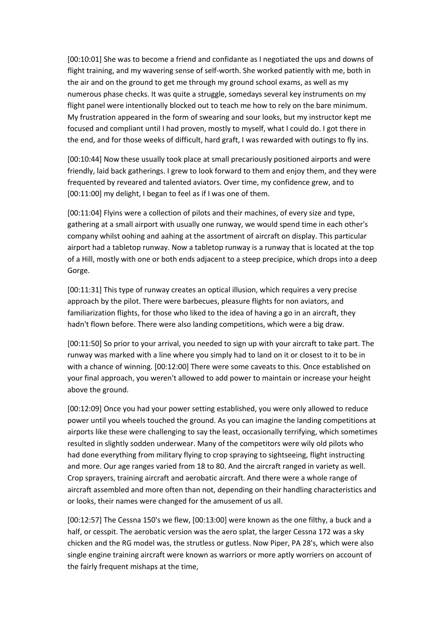[00:10:01] She was to become a friend and confidante as I negotiated the ups and downs of flight training, and my wavering sense of self-worth. She worked patiently with me, both in the air and on the ground to get me through my ground school exams, as well as my numerous phase checks. It was quite a struggle, somedays several key instruments on my flight panel were intentionally blocked out to teach me how to rely on the bare minimum. My frustration appeared in the form of swearing and sour looks, but my instructor kept me focused and compliant until I had proven, mostly to myself, what I could do. I got there in the end, and for those weeks of difficult, hard graft, I was rewarded with outings to fly ins.

[00:10:44] Now these usually took place at small precariously positioned airports and were friendly, laid back gatherings. I grew to look forward to them and enjoy them, and they were frequented by reveared and talented aviators. Over time, my confidence grew, and to [00:11:00] my delight, I began to feel as if I was one of them.

[00:11:04] Flyins were a collection of pilots and their machines, of every size and type, gathering at a small airport with usually one runway, we would spend time in each other's company whilst oohing and aahing at the assortment of aircraft on display. This particular airport had a tabletop runway. Now a tabletop runway is a runway that is located at the top of a Hill, mostly with one or both ends adjacent to a steep precipice, which drops into a deep Gorge.

[00:11:31] This type of runway creates an optical illusion, which requires a very precise approach by the pilot. There were barbecues, pleasure flights for non aviators, and familiarization flights, for those who liked to the idea of having a go in an aircraft, they hadn't flown before. There were also landing competitions, which were a big draw.

[00:11:50] So prior to your arrival, you needed to sign up with your aircraft to take part. The runway was marked with a line where you simply had to land on it or closest to it to be in with a chance of winning. [00:12:00] There were some caveats to this. Once established on your final approach, you weren't allowed to add power to maintain or increase your height above the ground.

[00:12:09] Once you had your power setting established, you were only allowed to reduce power until you wheels touched the ground. As you can imagine the landing competitions at airports like these were challenging to say the least, occasionally terrifying, which sometimes resulted in slightly sodden underwear. Many of the competitors were wily old pilots who had done everything from military flying to crop spraying to sightseeing, flight instructing and more. Our age ranges varied from 18 to 80. And the aircraft ranged in variety as well. Crop sprayers, training aircraft and aerobatic aircraft. And there were a whole range of aircraft assembled and more often than not, depending on their handling characteristics and or looks, their names were changed for the amusement of us all.

[00:12:57] The Cessna 150's we flew, [00:13:00] were known as the one filthy, a buck and a half, or cesspit. The aerobatic version was the aero splat, the larger Cessna 172 was a sky chicken and the RG model was, the strutless or gutless. Now Piper, PA 28's, which were also single engine training aircraft were known as warriors or more aptly worriers on account of the fairly frequent mishaps at the time,